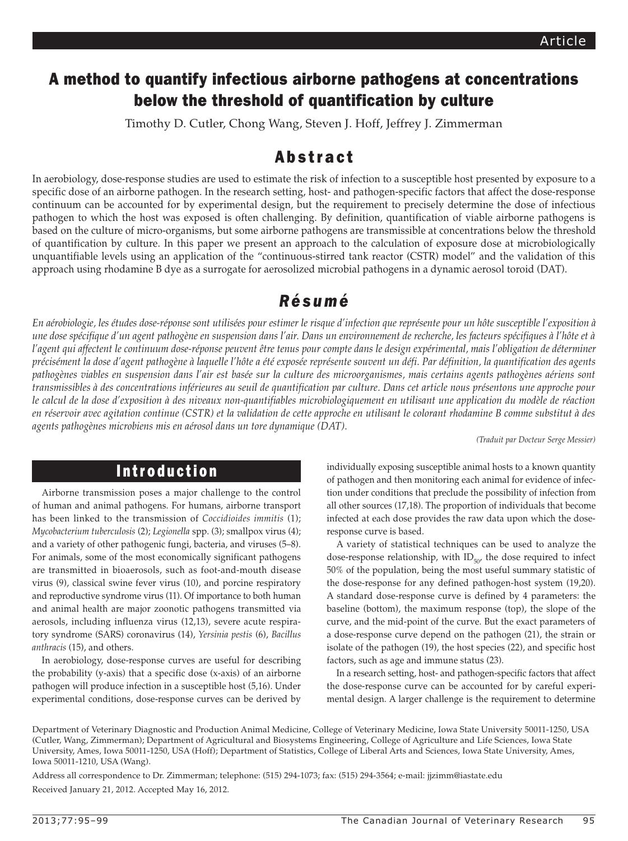## A method to quantify infectious airborne pathogens at concentrations below the threshold of quantification by culture

Timothy D. Cutler, Chong Wang, Steven J. Hoff, Jeffrey J. Zimmerman

### Abstract

In aerobiology, dose-response studies are used to estimate the risk of infection to a susceptible host presented by exposure to a specific dose of an airborne pathogen. In the research setting, host- and pathogen-specific factors that affect the dose-response continuum can be accounted for by experimental design, but the requirement to precisely determine the dose of infectious pathogen to which the host was exposed is often challenging. By definition, quantification of viable airborne pathogens is based on the culture of micro-organisms, but some airborne pathogens are transmissible at concentrations below the threshold of quantification by culture. In this paper we present an approach to the calculation of exposure dose at microbiologically unquantifiable levels using an application of the "continuous-stirred tank reactor (CSTR) model" and the validation of this approach using rhodamine B dye as a surrogate for aerosolized microbial pathogens in a dynamic aerosol toroid (DAT).

# *Résumé*

En aérobiologie, les études dose-réponse sont utilisées pour estimer le risque d'infection que représente pour un hôte susceptible l'exposition à *une dose spécifique d'un agent pathogène en suspension dans l'air. Dans un environnement de recherche, les facteurs spécifiques à l'hôte et à l'agent qui affectent le continuum dose-réponse peuvent être tenus pour compte dans le design expérimental, mais l'obligation de déterminer précisément la dose d'agent pathogène à laquelle l'hôte a été exposée représente souvent un défi. Par définition, la quantification des agents pathogènes viables en suspension dans l'air est basée sur la culture des microorganismes, mais certains agents pathogènes aériens sont transmissibles à des concentrations inférieures au seuil de quantification par culture. Dans cet article nous présentons une approche pour le calcul de la dose d'exposition à des niveaux non-quantifiables microbiologiquement en utilisant une application du modèle de réaction en réservoir avec agitation continue (CSTR) et la validation de cette approche en utilisant le colorant rhodamine B comme substitut à des agents pathogènes microbiens mis en aérosol dans un tore dynamique (DAT).*

*(Traduit par Docteur Serge Messier)* 

#### Introduction

Airborne transmission poses a major challenge to the control of human and animal pathogens. For humans, airborne transport has been linked to the transmission of *Coccidioides immitis* (1); *Mycobacterium tuberculosis* (2); *Legionella* spp. (3); smallpox virus (4); and a variety of other pathogenic fungi, bacteria, and viruses (5–8). For animals, some of the most economically significant pathogens are transmitted in bioaerosols, such as foot-and-mouth disease virus (9), classical swine fever virus (10), and porcine respiratory and reproductive syndrome virus (11). Of importance to both human and animal health are major zoonotic pathogens transmitted via aerosols, including influenza virus (12,13), severe acute respiratory syndrome (SARS) coronavirus (14), *Yersinia pestis* (6), *Bacillus anthracis* (15), and others.

In aerobiology, dose-response curves are useful for describing the probability (y-axis) that a specific dose (x-axis) of an airborne pathogen will produce infection in a susceptible host (5,16). Under experimental conditions, dose-response curves can be derived by individually exposing susceptible animal hosts to a known quantity of pathogen and then monitoring each animal for evidence of infection under conditions that preclude the possibility of infection from all other sources (17,18). The proportion of individuals that become infected at each dose provides the raw data upon which the doseresponse curve is based.

A variety of statistical techniques can be used to analyze the dose-response relationship, with  $ID_{50'}$  the dose required to infect 50% of the population, being the most useful summary statistic of the dose-response for any defined pathogen-host system (19,20). A standard dose-response curve is defined by 4 parameters: the baseline (bottom), the maximum response (top), the slope of the curve, and the mid-point of the curve. But the exact parameters of a dose-response curve depend on the pathogen (21), the strain or isolate of the pathogen (19), the host species (22), and specific host factors, such as age and immune status (23).

In a research setting, host- and pathogen-specific factors that affect the dose-response curve can be accounted for by careful experimental design. A larger challenge is the requirement to determine

Department of Veterinary Diagnostic and Production Animal Medicine, College of Veterinary Medicine, Iowa State University 50011-1250, USA (Cutler, Wang, Zimmerman); Department of Agricultural and Biosystems Engineering, College of Agriculture and Life Sciences, Iowa State University, Ames, Iowa 50011-1250, USA (Hoff); Department of Statistics, College of Liberal Arts and Sciences, Iowa State University, Ames, Iowa 50011-1210, USA (Wang).

Address all correspondence to Dr. Zimmerman; telephone: (515) 294-1073; fax: (515) 294-3564; e-mail: jjzimm@iastate.edu Received January 21, 2012. Accepted May 16, 2012.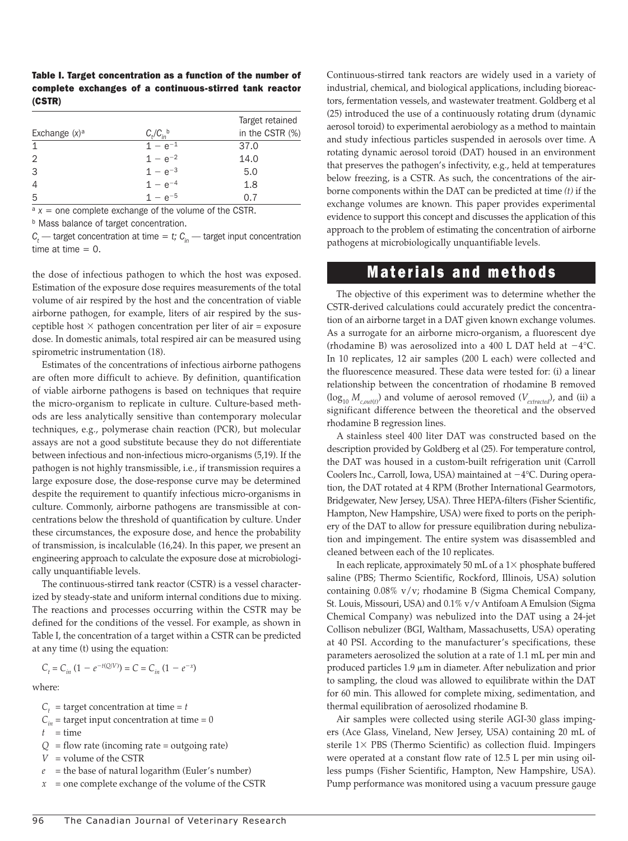|        |  | Table I. Target concentration as a function of the number of |  |
|--------|--|--------------------------------------------------------------|--|
|        |  | complete exchanges of a continuous-stirred tank reactor      |  |
| (CSTR) |  |                                                              |  |

| Exchange $(x)$ <sup>a</sup> | $C_t/C_{in}$ <sup>b</sup> | Target retained<br>in the CSTR (%) |
|-----------------------------|---------------------------|------------------------------------|
| $\mathbf 1$                 | $1 - e^{-1}$              | 37.0                               |
| 2                           | $1 - e^{-2}$              | 14.0                               |
| 3                           | $1 - e^{-3}$              | 5.0                                |
| $\overline{4}$              | $1 - e^{-4}$              | 1.8                                |
| 5                           | $1 - e^{-5}$              | 07                                 |

 $a x =$  one complete exchange of the volume of the CSTR.

**b** Mass balance of target concentration.

 $C_t$  — target concentration at time = *t;*  $C_{in}$  — target input concentration time at time  $= 0$ .

the dose of infectious pathogen to which the host was exposed. Estimation of the exposure dose requires measurements of the total volume of air respired by the host and the concentration of viable airborne pathogen, for example, liters of air respired by the susceptible host  $\times$  pathogen concentration per liter of air = exposure dose. In domestic animals, total respired air can be measured using spirometric instrumentation (18).

Estimates of the concentrations of infectious airborne pathogens are often more difficult to achieve. By definition, quantification of viable airborne pathogens is based on techniques that require the micro-organism to replicate in culture. Culture-based methods are less analytically sensitive than contemporary molecular techniques, e.g., polymerase chain reaction (PCR), but molecular assays are not a good substitute because they do not differentiate between infectious and non-infectious micro-organisms (5,19). If the pathogen is not highly transmissible, i.e., if transmission requires a large exposure dose, the dose-response curve may be determined despite the requirement to quantify infectious micro-organisms in culture. Commonly, airborne pathogens are transmissible at concentrations below the threshold of quantification by culture. Under these circumstances, the exposure dose, and hence the probability of transmission, is incalculable (16,24). In this paper, we present an engineering approach to calculate the exposure dose at microbiologically unquantifiable levels.

The continuous-stirred tank reactor (CSTR) is a vessel characterized by steady-state and uniform internal conditions due to mixing. The reactions and processes occurring within the CSTR may be defined for the conditions of the vessel. For example, as shown in Table I, the concentration of a target within a CSTR can be predicted at any time (t) using the equation:

$$
C_t = C_{in} (1 - e^{-t(Q/V)}) = C = C_{in} (1 - e^{-x})
$$

where:

- $C_t$  = target concentration at time = *t*
- $C_{in}$  = target input concentration at time = 0
- $t = time$
- $Q =$  flow rate (incoming rate = outgoing rate)
- $V =$  volume of the CSTR
- $e$  = the base of natural logarithm (Euler's number)
- *x* = one complete exchange of the volume of the CSTR

Continuous-stirred tank reactors are widely used in a variety of industrial, chemical, and biological applications, including bioreactors, fermentation vessels, and wastewater treatment. Goldberg et al (25) introduced the use of a continuously rotating drum (dynamic aerosol toroid) to experimental aerobiology as a method to maintain and study infectious particles suspended in aerosols over time. A rotating dynamic aerosol toroid (DAT) housed in an environment that preserves the pathogen's infectivity, e.g., held at temperatures below freezing, is a CSTR. As such, the concentrations of the airborne components within the DAT can be predicted at time *(t)* if the exchange volumes are known. This paper provides experimental evidence to support this concept and discusses the application of this approach to the problem of estimating the concentration of airborne pathogens at microbiologically unquantifiable levels.

#### Materials and methods

The objective of this experiment was to determine whether the CSTR-derived calculations could accurately predict the concentration of an airborne target in a DAT given known exchange volumes. As a surrogate for an airborne micro-organism, a fluorescent dye (rhodamine B) was aerosolized into a 400 L DAT held at  $-4^{\circ}$ C. In 10 replicates, 12 air samples (200 L each) were collected and the fluorescence measured. These data were tested for: (i) a linear relationship between the concentration of rhodamine B removed  $(\log_{10} M_{c,out(t)})$  and volume of aerosol removed  $(V_{extracted})$ , and (ii) a significant difference between the theoretical and the observed rhodamine B regression lines.

A stainless steel 400 liter DAT was constructed based on the description provided by Goldberg et al (25). For temperature control, the DAT was housed in a custom-built refrigeration unit (Carroll Coolers Inc., Carroll, Iowa, USA) maintained at  $-4$ °C. During operation, the DAT rotated at 4 RPM (Brother International Gearmotors, Bridgewater, New Jersey, USA). Three HEPA-filters (Fisher Scientific, Hampton, New Hampshire, USA) were fixed to ports on the periphery of the DAT to allow for pressure equilibration during nebulization and impingement. The entire system was disassembled and cleaned between each of the 10 replicates.

In each replicate, approximately 50 mL of a  $1\times$  phosphate buffered saline (PBS; Thermo Scientific, Rockford, Illinois, USA) solution containing 0.08% v/v; rhodamine B (Sigma Chemical Company, St. Louis, Missouri, USA) and 0.1% v/v Antifoam A Emulsion (Sigma Chemical Company) was nebulized into the DAT using a 24-jet Collison nebulizer (BGI, Waltham, Massachusetts, USA) operating at 40 PSI. According to the manufacturer's specifications, these parameters aerosolized the solution at a rate of 1.1 mL per min and produced particles  $1.9 \mu m$  in diameter. After nebulization and prior to sampling, the cloud was allowed to equilibrate within the DAT for 60 min. This allowed for complete mixing, sedimentation, and thermal equilibration of aerosolized rhodamine B.

Air samples were collected using sterile AGI-30 glass impingers (Ace Glass, Vineland, New Jersey, USA) containing 20 mL of sterile  $1\times$  PBS (Thermo Scientific) as collection fluid. Impingers were operated at a constant flow rate of 12.5 L per min using oilless pumps (Fisher Scientific, Hampton, New Hampshire, USA). Pump performance was monitored using a vacuum pressure gauge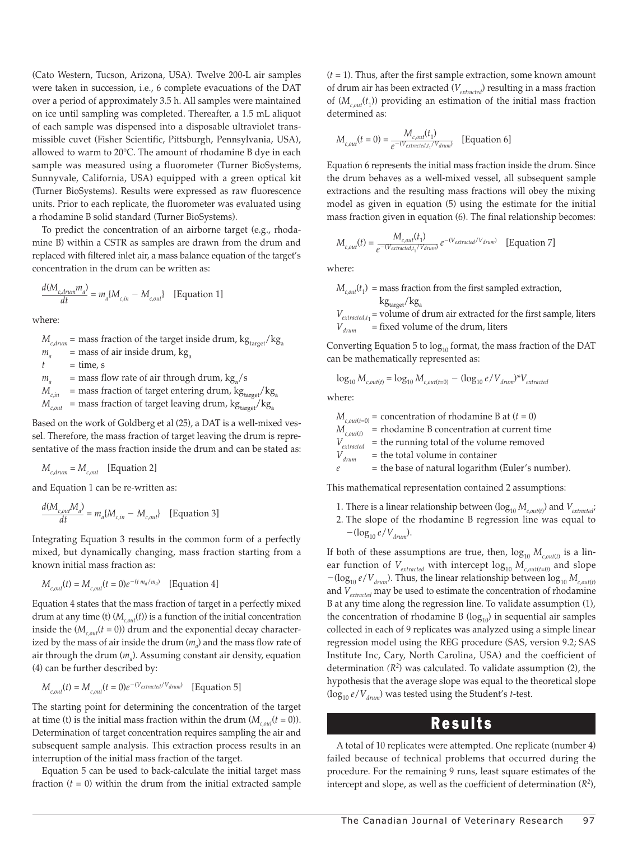(Cato Western, Tucson, Arizona, USA). Twelve 200-L air samples were taken in succession, i.e., 6 complete evacuations of the DAT over a period of approximately 3.5 h. All samples were maintained on ice until sampling was completed. Thereafter, a 1.5 mL aliquot of each sample was dispensed into a disposable ultraviolet transmissible cuvet (Fisher Scientific, Pittsburgh, Pennsylvania, USA), allowed to warm to 20°C. The amount of rhodamine B dye in each sample was measured using a fluorometer (Turner BioSystems, Sunnyvale, California, USA) equipped with a green optical kit (Turner BioSystems). Results were expressed as raw fluorescence units. Prior to each replicate, the fluorometer was evaluated using a rhodamine B solid standard (Turner BioSystems).

To predict the concentration of an airborne target (e.g., rhodamine B) within a CSTR as samples are drawn from the drum and replaced with filtered inlet air, a mass balance equation of the target's concentration in the drum can be written as:

$$
\frac{d(M_{c,drum}m_a)}{dt}=m_a[M_{c,in}-M_{c,out}] \quad \text{[Equation 1]}
$$

where:

 $M_{\text{cdrum}}$  = mass fraction of the target inside drum,  $\text{kg}_{\text{target}}/\text{kg}_{\text{a}}$  $=$  mass of air inside drum,  $kg_a$  $t = \text{time, s}$  $m_a$  = mass flow rate of air through drum, kg<sub>3</sub>/s  $M_{c,in}$  = mass fraction of target entering drum,  $\text{kg}_{\text{target}}/\text{kg}_{\text{a}}$  $M_{\text{c,out}}$  = mass fraction of target leaving drum,  $\text{kg}_{\text{target}}/\text{kg}_{\text{a}}$ 

Based on the work of Goldberg et al (25), a DAT is a well-mixed vessel. Therefore, the mass fraction of target leaving the drum is representative of the mass fraction inside the drum and can be stated as:

$$
M_{c,drum} = M_{c,out} \quad \text{[Equation 2]}
$$

and Equation 1 can be re-written as:

$$
\frac{d(M_{c, out}M_a)}{dt}=m_a\{M_{c,in}-M_{c,out}\} \quad \text{[Equation 3]}
$$

Integrating Equation 3 results in the common form of a perfectly mixed, but dynamically changing, mass fraction starting from a known initial mass fraction as:

$$
M_{c,out}(t) = M_{c,out}(t=0)e^{-(t m_a/m_a)} \quad \text{[Equation 4]}
$$

Equation 4 states that the mass fraction of target in a perfectly mixed drum at any time (t)  $(M_{c, out}(t))$  is a function of the initial concentration inside the  $(M_{coul}(t=0))$  drum and the exponential decay characterized by the mass of air inside the drum  $(m_{a})$  and the mass flow rate of air through the drum (*ma* ). Assuming constant air density, equation (4) can be further described by:

$$
M_{c,out}(t) = M_{c,out}(t=0)e^{-(V_{extracted}/V_{drum})}
$$
 [Equation 5]

The starting point for determining the concentration of the target at time (t) is the initial mass fraction within the drum  $(M_{c, out}(t = 0))$ . Determination of target concentration requires sampling the air and subsequent sample analysis. This extraction process results in an interruption of the initial mass fraction of the target.

Equation 5 can be used to back-calculate the initial target mass fraction  $(t = 0)$  within the drum from the initial extracted sample (*t* = 1). Thus, after the first sample extraction, some known amount of drum air has been extracted (*Vextracted*) resulting in a mass fraction of  $(M<sub>c, out</sub>(t<sub>1</sub>))$  providing an estimation of the initial mass fraction determined as:

$$
M_{c,out}(t=0) = \frac{M_{c,out}(t_1)}{e^{-(V_{extracted,t_1}/V_{drum})}}
$$
 [Equation 6]

Equation 6 represents the initial mass fraction inside the drum. Since the drum behaves as a well-mixed vessel, all subsequent sample extractions and the resulting mass fractions will obey the mixing model as given in equation (5) using the estimate for the initial mass fraction given in equation (6). The final relationship becomes:

$$
M_{c,out}(t) = \frac{M_{c,out}(t_1)}{e^{-(V_{extracted,t_1}/V_{drum})}} e^{-(V_{extracted}/V_{drum})}
$$
 [Equation 7]

where:

 $M_{c,out}(t_1)$  = mass fraction from the first sampled extraction,  $kg_{target}/kg_a$  $V_{extracted,t_1}$  = volume of drum air extracted for the first sample, liters  $\dot{V}$  = fixed volume of the drum, liters

Converting Equation 5 to  $log_{10}$  format, the mass fraction of the DAT can be mathematically represented as:

$$
\log_{10} M_{c,out(t)} = \log_{10} M_{c,out(t=0)} - (\log_{10} e/V_{drum})^* V_{extracted}
$$

where:

 $M_{\text{c,out}(t=0)}$  = concentration of rhodamine B at  $(t=0)$  $M_{c,out(t)}$  = rhodamine B concentration at current time  $V_{extracted}$  = the running total of the volume removed  $V_{_{drum}}$  = the total volume in container = the total volume in container

 $e$  = the base of natural logarithm (Euler's number).

This mathematical representation contained 2 assumptions:

- 1. There is a linear relationship between  $(\log_{10} M_{c,out(t)})$  and  $V_{extracted}$ ;
- 2. The slope of the rhodamine B regression line was equal to  $-(\log_{10} e/V_{drum}).$

If both of these assumptions are true, then,  $\log_{10} M_{c,out(t)}$  is a linear function of  $V_{extracted}$  with intercept  $log_{10} M_{c,out(t=0)}$  and slope  $-(\log_{10} e/V_{drum})$ . Thus, the linear relationship between  $\log_{10} M_{c,out(t)}$ and *Vextracted* may be used to estimate the concentration of rhodamine B at any time along the regression line. To validate assumption (1), the concentration of rhodamine B  $(log_{10})$  in sequential air samples collected in each of 9 replicates was analyzed using a simple linear regression model using the REG procedure (SAS, version 9.2; SAS Institute Inc, Cary, North Carolina, USA) and the coefficient of determination *(R2*) was calculated. To validate assumption (2), the hypothesis that the average slope was equal to the theoretical slope (log<sub>10</sub>  $e/V$ <sub>drum</sub>) was tested using the Student's *t*-test.

### Results

A total of 10 replicates were attempted. One replicate (number 4) failed because of technical problems that occurred during the procedure. For the remaining 9 runs, least square estimates of the intercept and slope, as well as the coefficient of determination (*R2*),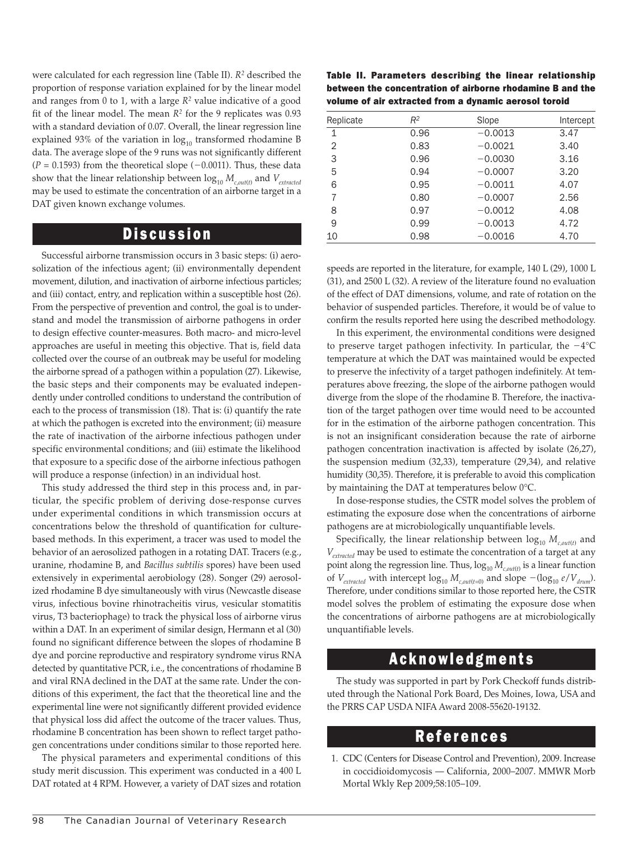were calculated for each regression line (Table II). *R2* described the proportion of response variation explained for by the linear model and ranges from 0 to 1, with a large  $R^2$  value indicative of a good fit of the linear model. The mean  $R^2$  for the 9 replicates was 0.93 with a standard deviation of 0.07. Overall, the linear regression line explained 93% of the variation in  $log_{10}$  transformed rhodamine B data. The average slope of the 9 runs was not significantly different  $(P = 0.1593)$  from the theoretical slope  $(-0.0011)$ . Thus, these data show that the linear relationship between  $\log_{10} M_{c, out(t)}$  and  $V_{extracted}$ may be used to estimate the concentration of an airborne target in a DAT given known exchange volumes.

#### **Discussion**

Successful airborne transmission occurs in 3 basic steps: (i) aerosolization of the infectious agent; (ii) environmentally dependent movement, dilution, and inactivation of airborne infectious particles; and (iii) contact, entry, and replication within a susceptible host (26). From the perspective of prevention and control, the goal is to understand and model the transmission of airborne pathogens in order to design effective counter-measures. Both macro- and micro-level approaches are useful in meeting this objective. That is, field data collected over the course of an outbreak may be useful for modeling the airborne spread of a pathogen within a population (27). Likewise, the basic steps and their components may be evaluated independently under controlled conditions to understand the contribution of each to the process of transmission (18). That is: (i) quantify the rate at which the pathogen is excreted into the environment; (ii) measure the rate of inactivation of the airborne infectious pathogen under specific environmental conditions; and (iii) estimate the likelihood that exposure to a specific dose of the airborne infectious pathogen will produce a response (infection) in an individual host.

This study addressed the third step in this process and, in particular, the specific problem of deriving dose-response curves under experimental conditions in which transmission occurs at concentrations below the threshold of quantification for culturebased methods. In this experiment, a tracer was used to model the behavior of an aerosolized pathogen in a rotating DAT. Tracers (e.g., uranine, rhodamine B, and *Bacillus subtilis* spores) have been used extensively in experimental aerobiology (28). Songer (29) aerosolized rhodamine B dye simultaneously with virus (Newcastle disease virus, infectious bovine rhinotracheitis virus, vesicular stomatitis virus, T3 bacteriophage) to track the physical loss of airborne virus within a DAT. In an experiment of similar design, Hermann et al (30) found no significant difference between the slopes of rhodamine B dye and porcine reproductive and respiratory syndrome virus RNA detected by quantitative PCR, i.e., the concentrations of rhodamine B and viral RNA declined in the DAT at the same rate. Under the conditions of this experiment, the fact that the theoretical line and the experimental line were not significantly different provided evidence that physical loss did affect the outcome of the tracer values. Thus, rhodamine B concentration has been shown to reflect target pathogen concentrations under conditions similar to those reported here.

The physical parameters and experimental conditions of this study merit discussion. This experiment was conducted in a 400 L DAT rotated at 4 RPM. However, a variety of DAT sizes and rotation

Table II. Parameters describing the linear relationship between the concentration of airborne rhodamine B and the volume of air extracted from a dynamic aerosol toroid

| Replicate | $R^2$ | Slope     | Intercept |
|-----------|-------|-----------|-----------|
| 1         | 0.96  | $-0.0013$ | 3.47      |
| 2         | 0.83  | $-0.0021$ | 3.40      |
| 3         | 0.96  | $-0.0030$ | 3.16      |
| 5         | 0.94  | $-0.0007$ | 3.20      |
| 6         | 0.95  | $-0.0011$ | 4.07      |
| 7         | 0.80  | $-0.0007$ | 2.56      |
| 8         | 0.97  | $-0.0012$ | 4.08      |
| 9         | 0.99  | $-0.0013$ | 4.72      |
| 10        | 0.98  | $-0.0016$ | 4.70      |

speeds are reported in the literature, for example, 140 L (29), 1000 L (31), and 2500 L (32). A review of the literature found no evaluation of the effect of DAT dimensions, volume, and rate of rotation on the behavior of suspended particles. Therefore, it would be of value to confirm the results reported here using the described methodology.

In this experiment, the environmental conditions were designed to preserve target pathogen infectivity. In particular, the  $-4^{\circ}$ C temperature at which the DAT was maintained would be expected to preserve the infectivity of a target pathogen indefinitely. At temperatures above freezing, the slope of the airborne pathogen would diverge from the slope of the rhodamine B. Therefore, the inactivation of the target pathogen over time would need to be accounted for in the estimation of the airborne pathogen concentration. This is not an insignificant consideration because the rate of airborne pathogen concentration inactivation is affected by isolate (26,27), the suspension medium (32,33), temperature (29,34), and relative humidity (30,35). Therefore, it is preferable to avoid this complication by maintaining the DAT at temperatures below 0°C.

In dose-response studies, the CSTR model solves the problem of estimating the exposure dose when the concentrations of airborne pathogens are at microbiologically unquantifiable levels.

Specifically, the linear relationship between  $\log_{10} M_{_{c,out(t)}}$  and *Vextracted* may be used to estimate the concentration of a target at any point along the regression line. Thus,  $\log_{10} M_{c, out(t)}$  is a linear function of  $V_{extracted}$  with intercept  $log_{10} M_{c,out(t=0)}$  and slope  $-(log_{10} e/V_{drum})$ . Therefore, under conditions similar to those reported here, the CSTR model solves the problem of estimating the exposure dose when the concentrations of airborne pathogens are at microbiologically unquantifiable levels.

#### Acknowledgments

The study was supported in part by Pork Checkoff funds distributed through the National Pork Board, Des Moines, Iowa, USA and the PRRS CAP USDA NIFA Award 2008-55620-19132.

#### References

1. CDC (Centers for Disease Control and Prevention), 2009. Increase in coccidioidomycosis — California, 2000–2007. MMWR Morb Mortal Wkly Rep 2009;58:105–109.